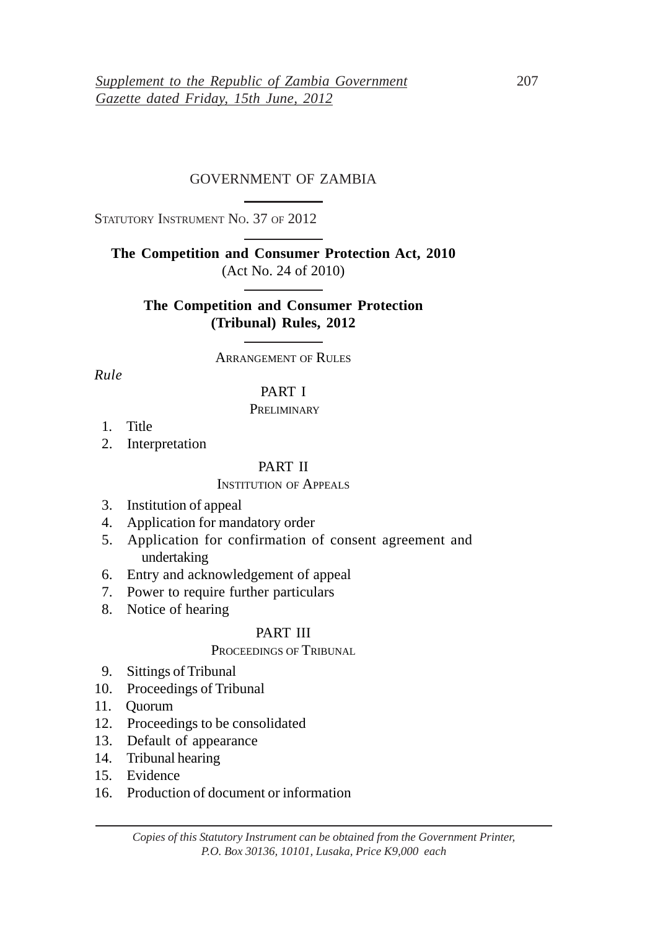# GOVERNMENT OF ZAMBIA

STATUTORY INSTRUMENT NO. 37 OF 2012

**The Competition and Consumer Protection Act, 2010** (Act No. 24 of 2010)

**The Competition and Consumer Protection (Tribunal) Rules, 2012**

ARRANGEMENT OF RULES

*Rule*

### PART I

#### **PRELIMINARY**

- 1. Title
- 2. Interpretation

### PART II

### INSTITUTION OF APPEALS

- 3. Institution of appeal
- 4. Application for mandatory order
- 5. Application for confirmation of consent agreement and undertaking
- 6. Entry and acknowledgement of appeal
- 7. Power to require further particulars
- 8. Notice of hearing

### PART III

# PROCEEDINGS OF TRIBUNAL

- 9. Sittings of Tribunal
- 10. Proceedings of Tribunal
- 11. Quorum
- 12. Proceedings to be consolidated
- 13. Default of appearance
- 14. Tribunal hearing
- 15. Evidence
- 16. Production of document or information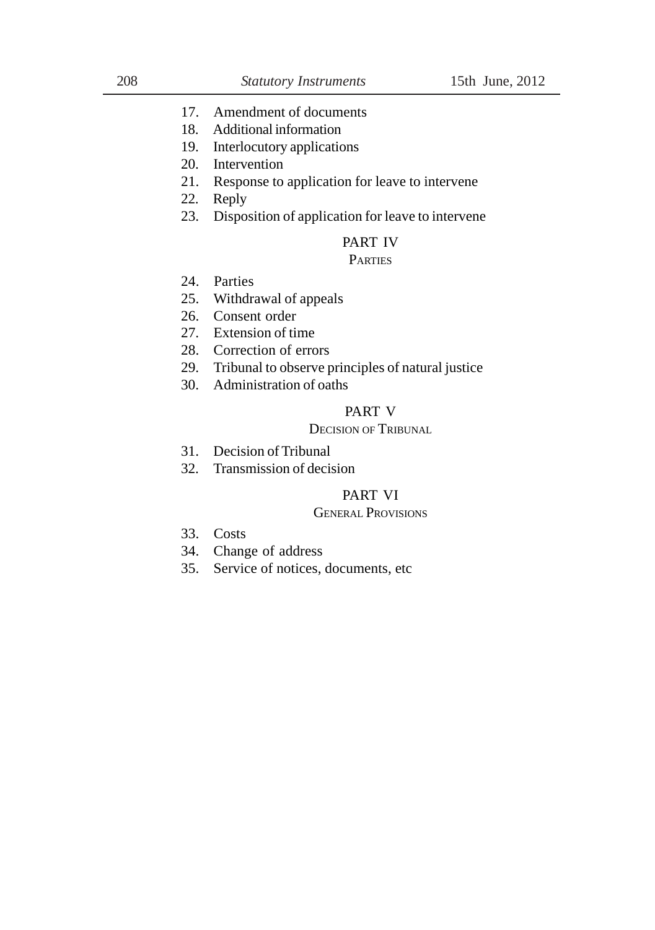- 17. Amendment of documents
- 18. Additional information
- 19. Interlocutory applications
- 20. Intervention
- 21. Response to application for leave to intervene
- 22. Reply
- 23. Disposition of application for leave to intervene

# PART IV

# **PARTIES**

- 24. Parties
- 25. Withdrawal of appeals
- 26. Consent order
- 27. Extension of time
- 28. Correction of errors
- 29. Tribunal to observe principles of natural justice
- 30. Administration of oaths

# PART V

# DECISION OF TRIBUNAL

- 31. Decision of Tribunal
- 32. Transmission of decision

# PART VI

#### GENERAL PROVISIONS

- 33. Costs
- 34. Change of address
- 35. Service of notices, documents, etc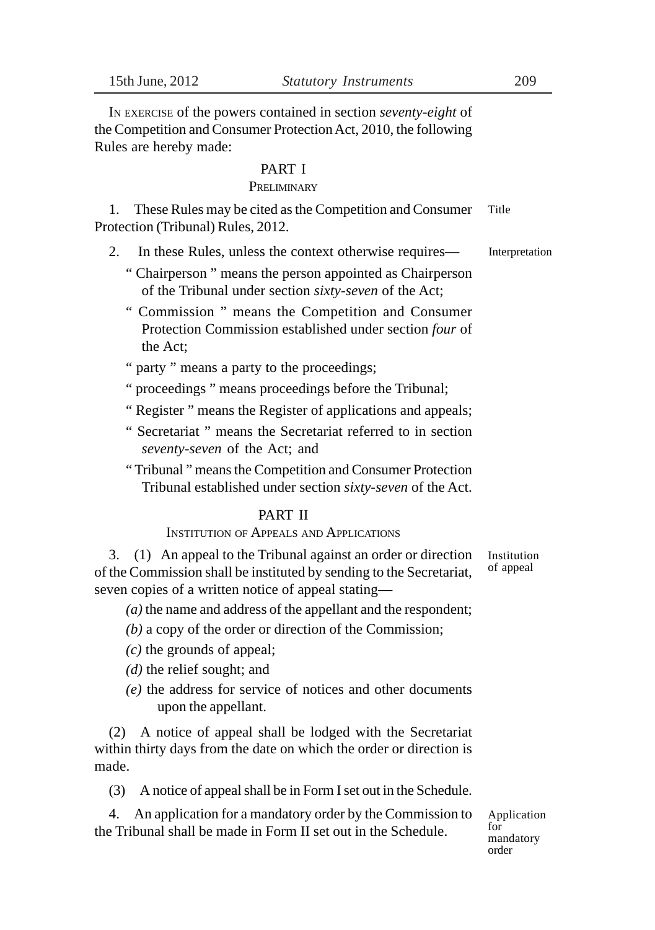IN EXERCISE of the powers contained in section *seventy-eight* of the Competition and Consumer Protection Act, 2010, the following Rules are hereby made:

#### PART I

#### **PRELIMINARY**

1. These Rules may be cited as the Competition and Consumer Protection (Tribunal) Rules, 2012. Title

- 2. In these Rules, unless the context otherwise requires—
	- " Chairperson " means the person appointed as Chairperson of the Tribunal under section *sixty-seven* of the Act;
	- " Commission " means the Competition and Consumer Protection Commission established under section *four* of the Act;
	- " party " means a party to the proceedings;
	- " proceedings " means proceedings before the Tribunal;
	- " Register " means the Register of applications and appeals;
	- " Secretariat " means the Secretariat referred to in section *seventy-seven* of the Act; and
	- " Tribunal " means the Competition and Consumer Protection Tribunal established under section *sixty-seven* of the Act.

#### PART II

### INSTITUTION OF APPEALS AND APPLICATIONS

3. (1) An appeal to the Tribunal against an order or direction of the Commission shall be instituted by sending to the Secretariat, seven copies of a written notice of appeal stating—

- *(a)* the name and address of the appellant and the respondent;
- *(b)* a copy of the order or direction of the Commission;
- *(c)* the grounds of appeal;
- *(d)* the relief sought; and
- *(e)* the address for service of notices and other documents upon the appellant.

(2) A notice of appeal shall be lodged with the Secretariat within thirty days from the date on which the order or direction is made.

(3) A notice of appeal shall be in Form I set out in the Schedule.

4. An application for a mandatory order by the Commission to the Tribunal shall be made in Form II set out in the Schedule.

Application for mandatory order

Institution of appeal

Interpretation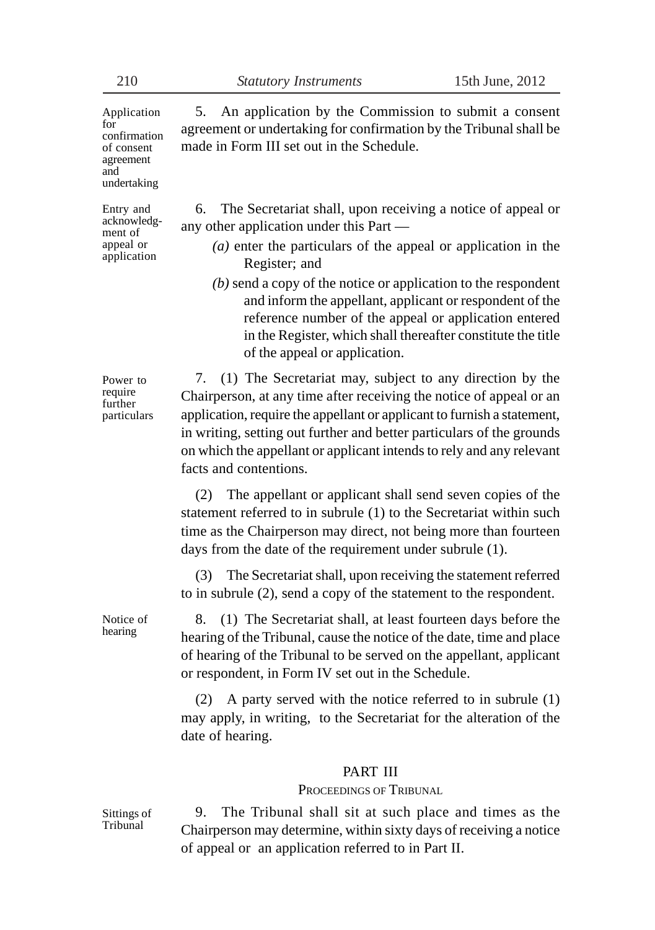Application for confirmation of consent agreement and undertaking

Entry and acknowledgment of appeal or application

5. An application by the Commission to submit a consent agreement or undertaking for confirmation by the Tribunal shall be made in Form III set out in the Schedule.

6. The Secretariat shall, upon receiving a notice of appeal or any other application under this Part —

- *(a)* enter the particulars of the appeal or application in the Register; and
- *(b)* send a copy of the notice or application to the respondent and inform the appellant, applicant or respondent of the reference number of the appeal or application entered in the Register, which shall thereafter constitute the title of the appeal or application.

Power to require further particulars

7. (1) The Secretariat may, subject to any direction by the Chairperson, at any time after receiving the notice of appeal or an application, require the appellant or applicant to furnish a statement, in writing, setting out further and better particulars of the grounds on which the appellant or applicant intends to rely and any relevant facts and contentions.

(2) The appellant or applicant shall send seven copies of the statement referred to in subrule (1) to the Secretariat within such time as the Chairperson may direct, not being more than fourteen days from the date of the requirement under subrule (1).

(3) The Secretariat shall, upon receiving the statement referred to in subrule (2), send a copy of the statement to the respondent.

8. (1) The Secretariat shall, at least fourteen days before the hearing of the Tribunal, cause the notice of the date, time and place of hearing of the Tribunal to be served on the appellant, applicant or respondent, in Form IV set out in the Schedule.

(2) A party served with the notice referred to in subrule (1) may apply, in writing, to the Secretariat for the alteration of the date of hearing.

#### PART III

PROCEEDINGS OF TRIBUNAL

Sittings of Tribunal

Notice of hearing

> 9. The Tribunal shall sit at such place and times as the Chairperson may determine, within sixty days of receiving a notice of appeal or an application referred to in Part II.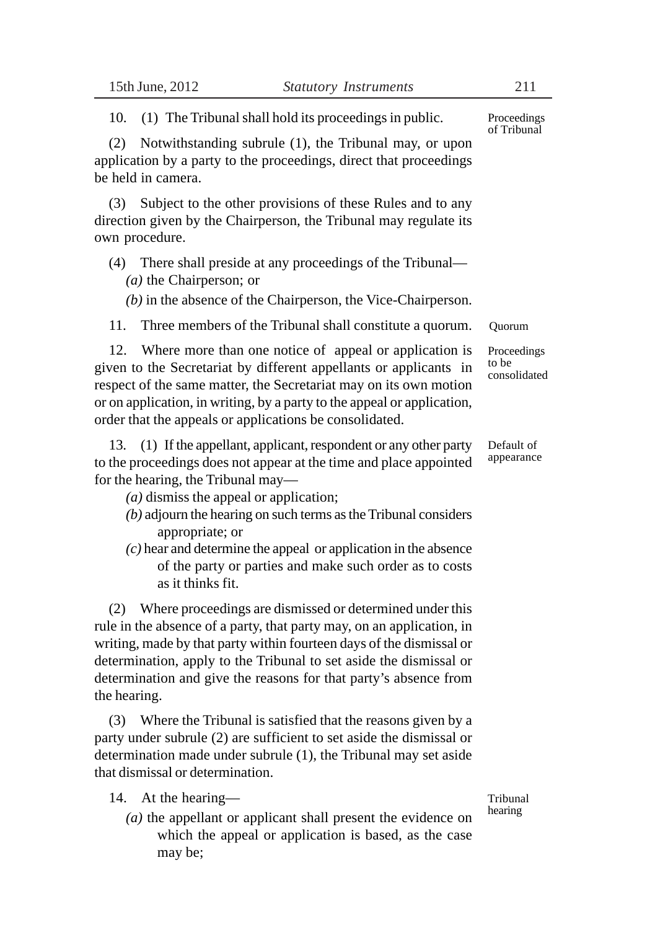10. (1) The Tribunal shall hold its proceedings in public.

(2) Notwithstanding subrule (1), the Tribunal may, or upon application by a party to the proceedings, direct that proceedings be held in camera.

(3) Subject to the other provisions of these Rules and to any direction given by the Chairperson, the Tribunal may regulate its own procedure.

(4) There shall preside at any proceedings of the Tribunal— *(a)* the Chairperson; or

*(b)* in the absence of the Chairperson, the Vice-Chairperson.

11. Three members of the Tribunal shall constitute a quorum.

12. Where more than one notice of appeal or application is given to the Secretariat by different appellants or applicants in respect of the same matter, the Secretariat may on its own motion or on application, in writing, by a party to the appeal or application, order that the appeals or applications be consolidated.

13. (1) If the appellant, applicant, respondent or any other party to the proceedings does not appear at the time and place appointed for the hearing, the Tribunal may—

*(a)* dismiss the appeal or application;

- *(b)* adjourn the hearing on such terms as the Tribunal considers appropriate; or
- *(c)* hear and determine the appeal or application in the absence of the party or parties and make such order as to costs as it thinks fit.

(2) Where proceedings are dismissed or determined under this rule in the absence of a party, that party may, on an application, in writing, made by that party within fourteen days of the dismissal or determination, apply to the Tribunal to set aside the dismissal or determination and give the reasons for that party's absence from the hearing.

(3) Where the Tribunal is satisfied that the reasons given by a party under subrule (2) are sufficient to set aside the dismissal or determination made under subrule (1), the Tribunal may set aside that dismissal or determination.

- 14. At the hearing—
	- *(a)* the appellant or applicant shall present the evidence on which the appeal or application is based, as the case may be;

Tribunal hearing

Default of appearance

Proceedings of Tribunal

Quorum

Proceedings to be consolidated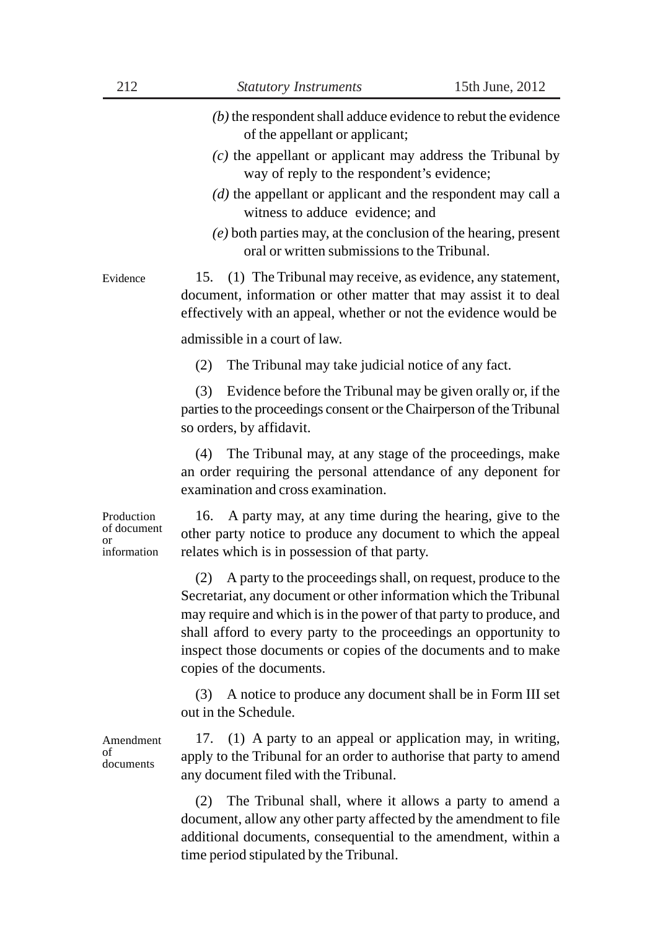- *(b)* the respondent shall adduce evidence to rebut the evidence of the appellant or applicant;
- *(c)* the appellant or applicant may address the Tribunal by way of reply to the respondent's evidence;
- *(d)* the appellant or applicant and the respondent may call a witness to adduce evidence; and
- *(e)* both parties may, at the conclusion of the hearing, present oral or written submissions to the Tribunal.

15. (1) The Tribunal may receive, as evidence, any statement, document, information or other matter that may assist it to deal effectively with an appeal, whether or not the evidence would be Evidence

admissible in a court of law.

(2) The Tribunal may take judicial notice of any fact.

(3) Evidence before the Tribunal may be given orally or, if the parties to the proceedings consent or the Chairperson of the Tribunal so orders, by affidavit.

(4) The Tribunal may, at any stage of the proceedings, make an order requiring the personal attendance of any deponent for examination and cross examination.

Production of document or information

16. A party may, at any time during the hearing, give to the other party notice to produce any document to which the appeal relates which is in possession of that party.

(2) A party to the proceedings shall, on request, produce to the Secretariat, any document or other information which the Tribunal may require and which is in the power of that party to produce, and shall afford to every party to the proceedings an opportunity to inspect those documents or copies of the documents and to make copies of the documents.

(3) A notice to produce any document shall be in Form III set out in the Schedule.

Amendment  $\alpha$ f documents

17. (1) A party to an appeal or application may, in writing, apply to the Tribunal for an order to authorise that party to amend any document filed with the Tribunal.

(2) The Tribunal shall, where it allows a party to amend a document, allow any other party affected by the amendment to file additional documents, consequential to the amendment, within a time period stipulated by the Tribunal.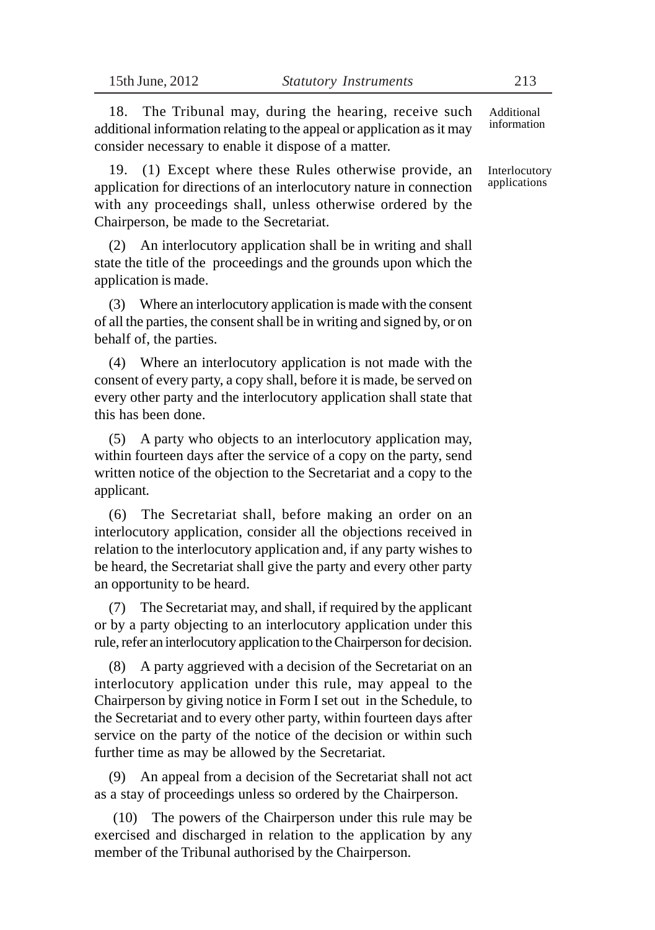18. The Tribunal may, during the hearing, receive such additional information relating to the appeal or application as it may consider necessary to enable it dispose of a matter.

19. (1) Except where these Rules otherwise provide, an application for directions of an interlocutory nature in connection with any proceedings shall, unless otherwise ordered by the Chairperson, be made to the Secretariat.

(2) An interlocutory application shall be in writing and shall state the title of the proceedings and the grounds upon which the application is made.

(3) Where an interlocutory application is made with the consent of all the parties, the consent shall be in writing and signed by, or on behalf of, the parties.

(4) Where an interlocutory application is not made with the consent of every party, a copy shall, before it is made, be served on every other party and the interlocutory application shall state that this has been done.

(5) A party who objects to an interlocutory application may, within fourteen days after the service of a copy on the party, send written notice of the objection to the Secretariat and a copy to the applicant.

(6) The Secretariat shall, before making an order on an interlocutory application, consider all the objections received in relation to the interlocutory application and, if any party wishes to be heard, the Secretariat shall give the party and every other party an opportunity to be heard.

(7) The Secretariat may, and shall, if required by the applicant or by a party objecting to an interlocutory application under this rule, refer an interlocutory application to the Chairperson for decision.

(8) A party aggrieved with a decision of the Secretariat on an interlocutory application under this rule, may appeal to the Chairperson by giving notice in Form I set out in the Schedule, to the Secretariat and to every other party, within fourteen days after service on the party of the notice of the decision or within such further time as may be allowed by the Secretariat.

(9) An appeal from a decision of the Secretariat shall not act as a stay of proceedings unless so ordered by the Chairperson.

 (10) The powers of the Chairperson under this rule may be exercised and discharged in relation to the application by any member of the Tribunal authorised by the Chairperson.

Additional information

Interlocutory applications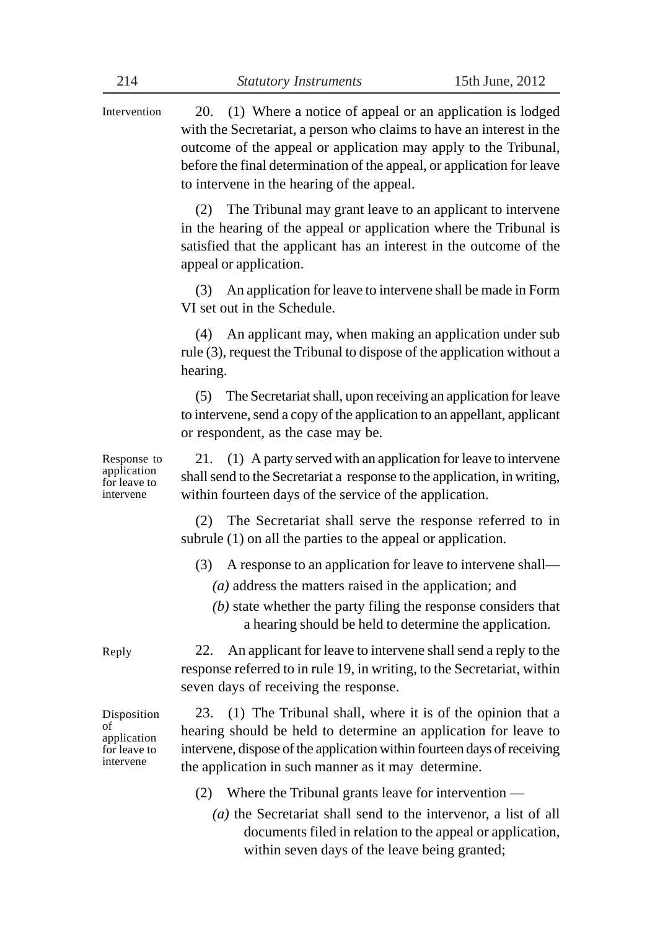20. (1) Where a notice of appeal or an application is lodged with the Secretariat, a person who claims to have an interest in the outcome of the appeal or application may apply to the Tribunal, before the final determination of the appeal, or application for leave to intervene in the hearing of the appeal. Intervention

> (2) The Tribunal may grant leave to an applicant to intervene in the hearing of the appeal or application where the Tribunal is satisfied that the applicant has an interest in the outcome of the appeal or application.

> (3) An application for leave to intervene shall be made in Form VI set out in the Schedule.

> (4) An applicant may, when making an application under sub rule (3), request the Tribunal to dispose of the application without a hearing.

> (5) The Secretariat shall, upon receiving an application for leave to intervene, send a copy of the application to an appellant, applicant or respondent, as the case may be.

Response to application for leave to intervene

21. (1) A party served with an application for leave to intervene shall send to the Secretariat a response to the application, in writing, within fourteen days of the service of the application.

(2) The Secretariat shall serve the response referred to in subrule (1) on all the parties to the appeal or application.

- (3) A response to an application for leave to intervene shall—
	- *(a)* address the matters raised in the application; and
	- *(b)* state whether the party filing the response considers that a hearing should be held to determine the application.

22. An applicant for leave to intervene shall send a reply to the response referred to in rule 19, in writing, to the Secretariat, within seven days of receiving the response.

23. (1) The Tribunal shall, where it is of the opinion that a hearing should be held to determine an application for leave to intervene, dispose of the application within fourteen days of receiving the application in such manner as it may determine.

- (2) Where the Tribunal grants leave for intervention
	- *(a)* the Secretariat shall send to the intervenor, a list of all documents filed in relation to the appeal or application, within seven days of the leave being granted;

Reply

Disposition of application for leave to intervene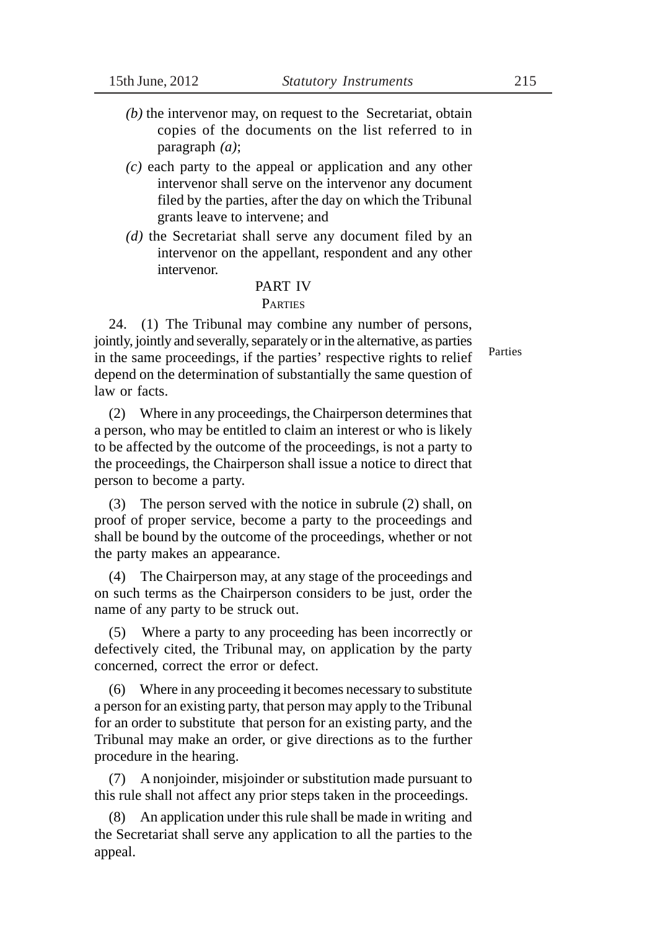- *(b)* the intervenor may, on request to the Secretariat, obtain copies of the documents on the list referred to in paragraph *(a)*;
- *(c)* each party to the appeal or application and any other intervenor shall serve on the intervenor any document filed by the parties, after the day on which the Tribunal grants leave to intervene; and
- *(d)* the Secretariat shall serve any document filed by an intervenor on the appellant, respondent and any other intervenor.

#### PART IV **PARTIES**

24. (1) The Tribunal may combine any number of persons, jointly, jointly and severally, separately or in the alternative, as parties in the same proceedings, if the parties' respective rights to relief depend on the determination of substantially the same question of law or facts.

(2) Where in any proceedings, the Chairperson determines that a person, who may be entitled to claim an interest or who is likely to be affected by the outcome of the proceedings, is not a party to the proceedings, the Chairperson shall issue a notice to direct that person to become a party.

(3) The person served with the notice in subrule (2) shall, on proof of proper service, become a party to the proceedings and shall be bound by the outcome of the proceedings, whether or not the party makes an appearance.

(4) The Chairperson may, at any stage of the proceedings and on such terms as the Chairperson considers to be just, order the name of any party to be struck out.

(5) Where a party to any proceeding has been incorrectly or defectively cited, the Tribunal may, on application by the party concerned, correct the error or defect.

(6) Where in any proceeding it becomes necessary to substitute a person for an existing party, that person may apply to the Tribunal for an order to substitute that person for an existing party, and the Tribunal may make an order, or give directions as to the further procedure in the hearing.

(7) A nonjoinder, misjoinder or substitution made pursuant to this rule shall not affect any prior steps taken in the proceedings.

(8) An application under this rule shall be made in writing and the Secretariat shall serve any application to all the parties to the appeal.

Parties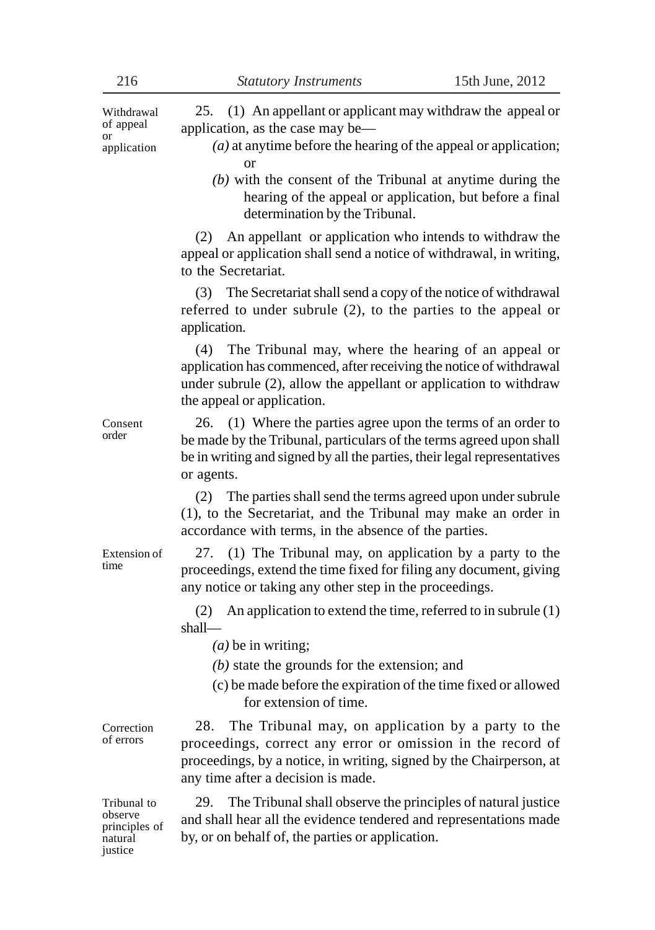25. (1) An appellant or applicant may withdraw the appeal or application, as the case may be— *(a)* at anytime before the hearing of the appeal or application; or *(b)* with the consent of the Tribunal at anytime during the hearing of the appeal or application, but before a final determination by the Tribunal. (2) An appellant or application who intends to withdraw the appeal or application shall send a notice of withdrawal, in writing, to the Secretariat. (3) The Secretariat shall send a copy of the notice of withdrawal referred to under subrule (2), to the parties to the appeal or application. (4) The Tribunal may, where the hearing of an appeal or application has commenced, after receiving the notice of withdrawal under subrule (2), allow the appellant or application to withdraw the appeal or application. 26. (1) Where the parties agree upon the terms of an order to be made by the Tribunal, particulars of the terms agreed upon shall be in writing and signed by all the parties, their legal representatives or agents. (2) The parties shall send the terms agreed upon under subrule (1), to the Secretariat, and the Tribunal may make an order in accordance with terms, in the absence of the parties. 27. (1) The Tribunal may, on application by a party to the proceedings, extend the time fixed for filing any document, giving any notice or taking any other step in the proceedings. (2) An application to extend the time, referred to in subrule (1) shall— *(a)* be in writing; *(b)* state the grounds for the extension; and (c) be made before the expiration of the time fixed or allowed for extension of time. 28. The Tribunal may, on application by a party to the proceedings, correct any error or omission in the record of proceedings, by a notice, in writing, signed by the Chairperson, at any time after a decision is made. 29. The Tribunal shall observe the principles of natural justice and shall hear all the evidence tendered and representations made by, or on behalf of, the parties or application. Withdrawal of appeal or application Consent order Extension of time Correction of errors Tribunal to observe principles of natural

iustice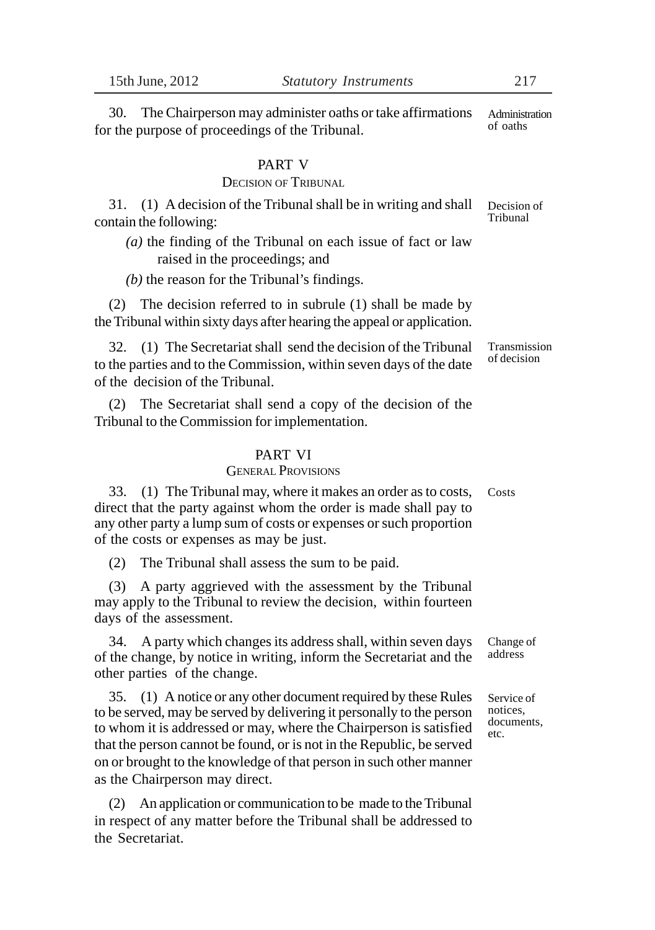30. The Chairperson may administer oaths or take affirmations for the purpose of proceedings of the Tribunal. Administration of oaths

### PART V

### DECISION OF TRIBUNAL

31. (1) A decision of the Tribunal shall be in writing and shall contain the following:

*(a)* the finding of the Tribunal on each issue of fact or law raised in the proceedings; and

*(b)* the reason for the Tribunal's findings.

(2) The decision referred to in subrule (1) shall be made by the Tribunal within sixty days after hearing the appeal or application.

32. (1) The Secretariat shall send the decision of the Tribunal to the parties and to the Commission, within seven days of the date of the decision of the Tribunal.

(2) The Secretariat shall send a copy of the decision of the Tribunal to the Commission for implementation.

### PART VI

### GENERAL PROVISIONS

33. (1) The Tribunal may, where it makes an order as to costs, direct that the party against whom the order is made shall pay to any other party a lump sum of costs or expenses or such proportion of the costs or expenses as may be just. Costs

(2) The Tribunal shall assess the sum to be paid.

(3) A party aggrieved with the assessment by the Tribunal may apply to the Tribunal to review the decision, within fourteen days of the assessment.

34. A party which changes its address shall, within seven days of the change, by notice in writing, inform the Secretariat and the other parties of the change.

35. (1) A notice or any other document required by these Rules to be served, may be served by delivering it personally to the person to whom it is addressed or may, where the Chairperson is satisfied that the person cannot be found, or is not in the Republic, be served on or brought to the knowledge of that person in such other manner as the Chairperson may direct.

(2) An application or communication to be made to the Tribunal in respect of any matter before the Tribunal shall be addressed to the Secretariat.

Decision of Tribunal

Transmission of decision

Change of address

Service of notices, documents, etc.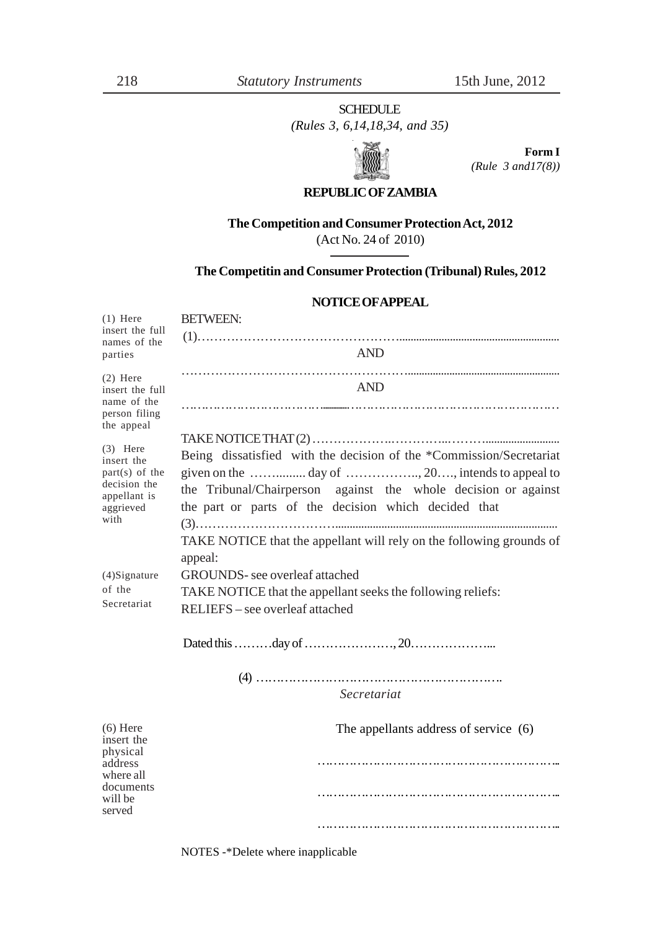### SCHEDULE

*(Rules 3, 6,14,18,34, and 35)*



**Form I** *(Rule 3 and17(8))*

### **REPUBLIC OF ZAMBIA**

#### **The Competition and Consumer Protection Act, 2012**

(Act No. 24 of 2010)

#### **The Competitin and Consumer Protection (Tribunal) Rules, 2012**

#### **NOTICE OF APPEAL**

| $(1)$ Here<br>insert the full<br>names of the<br>parties                                          | <b>BETWEEN:</b>                                                                                                                                                                                                     |  |  |
|---------------------------------------------------------------------------------------------------|---------------------------------------------------------------------------------------------------------------------------------------------------------------------------------------------------------------------|--|--|
|                                                                                                   | <b>AND</b>                                                                                                                                                                                                          |  |  |
| $(2)$ Here<br>insert the full<br>name of the<br>person filing<br>the appeal                       | <b>AND</b>                                                                                                                                                                                                          |  |  |
| $(3)$ Here<br>insert the<br>$part(s)$ of the<br>decision the<br>appellant is<br>aggrieved<br>with | Being dissatisfied with the decision of the *Commission/Secretariat<br>the Tribunal/Chairperson against the whole decision or against<br>the part or parts of the decision which decided that                       |  |  |
| $(4)$ Signature<br>of the<br>Secretariat                                                          | TAKE NOTICE that the appellant will rely on the following grounds of<br>appeal:<br>GROUNDS- see overleaf attached<br>TAKE NOTICE that the appellant seeks the following reliefs:<br>RELIEFS - see overleaf attached |  |  |
|                                                                                                   |                                                                                                                                                                                                                     |  |  |
|                                                                                                   | Secretariat                                                                                                                                                                                                         |  |  |
| $(6)$ Here<br>insert the<br>physical<br>address<br>where all<br>documents<br>will be<br>served    | The appellants address of service (6)                                                                                                                                                                               |  |  |
|                                                                                                   |                                                                                                                                                                                                                     |  |  |
|                                                                                                   |                                                                                                                                                                                                                     |  |  |

NOTES -\*Delete where inapplicable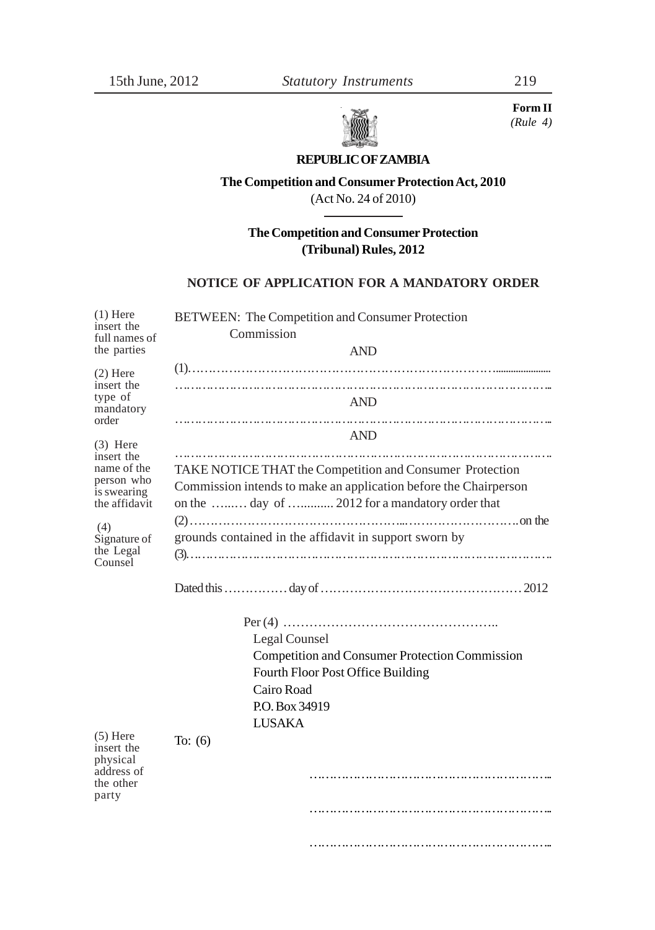

**Form II** *(Rule 4)*

# **REPUBLIC OF ZAMBIA**

**The Competition and Consumer Protection Act, 2010** (Act No. 24 of 2010)

**The Competition and Consumer Protection (Tribunal) Rules, 2012**

#### **NOTICE OF APPLICATION FOR A MANDATORY ORDER**

| $(1)$ Here<br>insert the                                                 | BETWEEN: The Competition and Consumer Protection                                                                                                                                |  |  |
|--------------------------------------------------------------------------|---------------------------------------------------------------------------------------------------------------------------------------------------------------------------------|--|--|
| full names of<br>the parties                                             | Commission<br><b>AND</b>                                                                                                                                                        |  |  |
| $(2)$ Here                                                               |                                                                                                                                                                                 |  |  |
| insert the<br>type of<br>mandatory<br>order                              | <b>AND</b>                                                                                                                                                                      |  |  |
| $(3)$ Here                                                               | <b>AND</b><br>                                                                                                                                                                  |  |  |
| insert the<br>name of the<br>person who<br>is swearing<br>the affidavit  | TAKE NOTICE THAT the Competition and Consumer Protection<br>Commission intends to make an application before the Chairperson<br>on the  day of  2012 for a mandatory order that |  |  |
| (4)<br>Signature of<br>the Legal<br>Counsel                              | grounds contained in the affidavit in support sworn by                                                                                                                          |  |  |
|                                                                          |                                                                                                                                                                                 |  |  |
|                                                                          | Legal Counsel<br><b>Competition and Consumer Protection Commission</b><br>Fourth Floor Post Office Building<br>Cairo Road<br>P.O. Box 34919<br><b>LUSAKA</b>                    |  |  |
| $(5)$ Here<br>insert the<br>physical<br>address of<br>the other<br>party | To: $(6)$                                                                                                                                                                       |  |  |
|                                                                          |                                                                                                                                                                                 |  |  |

……………………………………………………………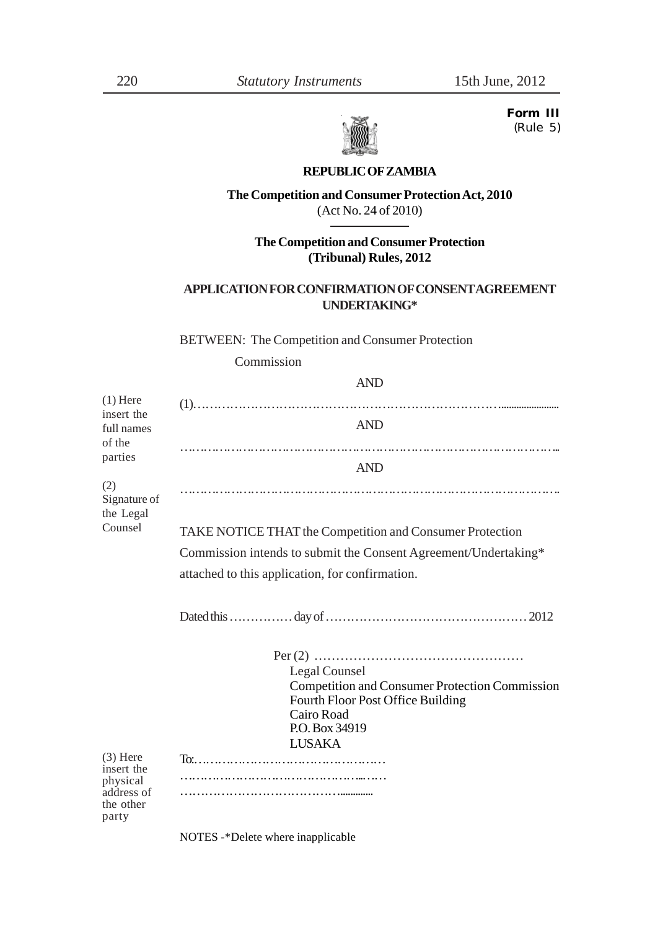**Form III** *(Rule 5)*



### **REPUBLIC OF ZAMBIA**

#### **The Competition and Consumer Protection Act, 2010** (Act No. 24 of 2010)

**The Competition and Consumer Protection**

**(Tribunal) Rules, 2012**

### **APPLICATION FOR CONFIRMATION OF CONSENT AGREEMENT UNDERTAKING\***

BETWEEN: The Competition and Consumer Protection

Commission

AND

| $(1)$ Here<br>insert the<br>full names<br>of the<br>parties              | <b>AND</b>                                                                                                                                  |
|--------------------------------------------------------------------------|---------------------------------------------------------------------------------------------------------------------------------------------|
|                                                                          | <b>AND</b>                                                                                                                                  |
| (2)<br>Signature of<br>the Legal                                         |                                                                                                                                             |
| Counsel                                                                  | TAKE NOTICE THAT the Competition and Consumer Protection                                                                                    |
|                                                                          | Commission intends to submit the Consent Agreement/Undertaking*                                                                             |
|                                                                          | attached to this application, for confirmation.                                                                                             |
|                                                                          |                                                                                                                                             |
|                                                                          | Legal Counsel<br><b>Competition and Consumer Protection Commission</b><br>Fourth Floor Post Office Building<br>Cairo Road<br>P.O. Box 34919 |
| $(3)$ Here<br>insert the<br>physical<br>address of<br>the other<br>party | <b>LUSAKA</b>                                                                                                                               |

NOTES -\*Delete where inapplicable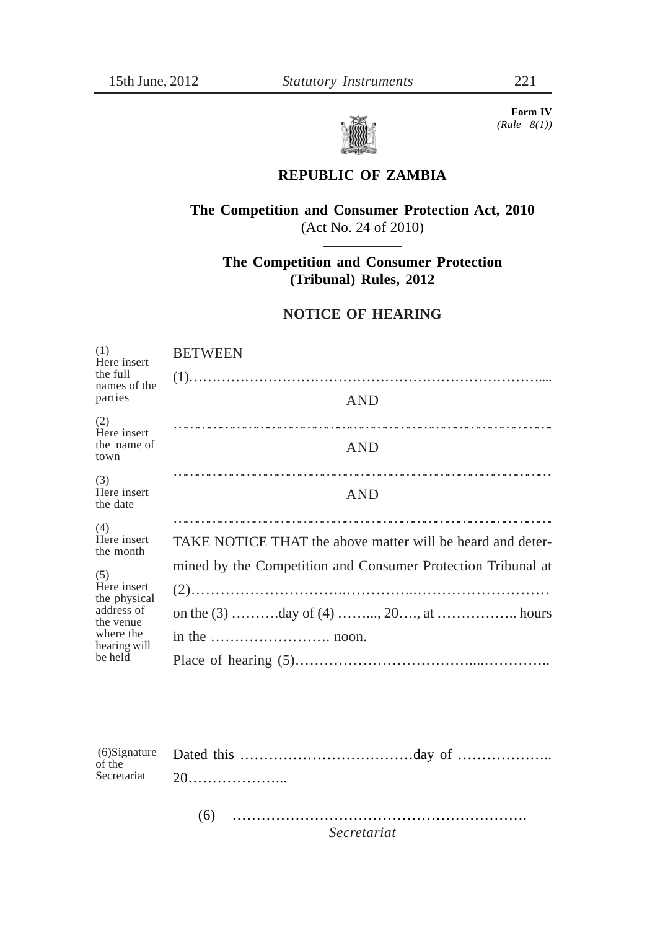

 **Form IV** *(Rule 8(1))*

# **REPUBLIC OF ZAMBIA**

# **The Competition and Consumer Protection Act, 2010** (Act No. 24 of 2010)

**The Competition and Consumer Protection (Tribunal) Rules, 2012**

### **NOTICE OF HEARING**

| (1)<br>Here insert                        | <b>BETWEEN</b>                                               |
|-------------------------------------------|--------------------------------------------------------------|
| the full<br>names of the<br>parties       |                                                              |
|                                           | <b>AND</b>                                                   |
| (2)<br>Here insert<br>the name of<br>town | <b>AND</b>                                                   |
| (3)<br>Here insert<br>the date            | <b>AND</b>                                                   |
| (4)<br>Here insert<br>the month           | TAKE NOTICE THAT the above matter will be heard and deter-   |
| (5)<br>Here insert<br>the physical        | mined by the Competition and Consumer Protection Tribunal at |
|                                           |                                                              |
| address of<br>the venue                   |                                                              |
| where the<br>hearing will<br>be held      |                                                              |
|                                           |                                                              |

| $\overrightarrow{$ of the |  |
|---------------------------|--|
|                           |  |
|                           |  |

(6) ……………………………………………………. *Secretariat*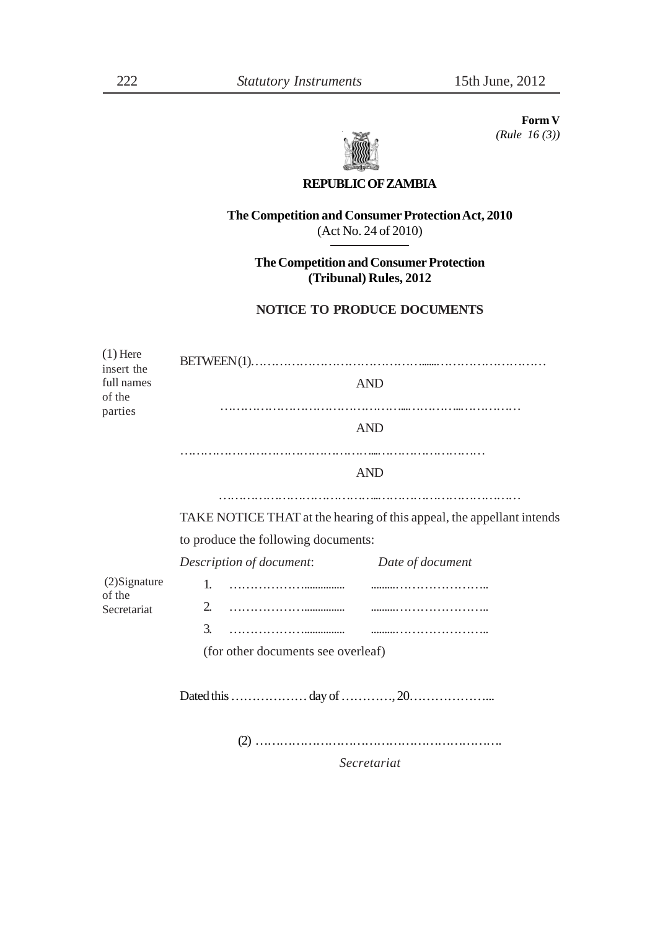**Form V** *(Rule 16 (3))*

#### **REPUBLIC OF ZAMBIA**

**The Competition and Consumer Protection Act, 2010** (Act No. 24 of 2010)

**The Competition and Consumer Protection (Tribunal) Rules, 2012**

### **NOTICE TO PRODUCE DOCUMENTS**

| <b>AND</b>                                                            |  |  |
|-----------------------------------------------------------------------|--|--|
|                                                                       |  |  |
| <b>AND</b>                                                            |  |  |
|                                                                       |  |  |
| <b>AND</b>                                                            |  |  |
|                                                                       |  |  |
| TAKE NOTICE THAT at the hearing of this appeal, the appellant intends |  |  |
| to produce the following documents:                                   |  |  |
| Description of document: Date of document                             |  |  |
| 1.                                                                    |  |  |
|                                                                       |  |  |
|                                                                       |  |  |
| (for other documents see overleaf)                                    |  |  |
|                                                                       |  |  |
|                                                                       |  |  |
|                                                                       |  |  |
|                                                                       |  |  |

*Secretariat*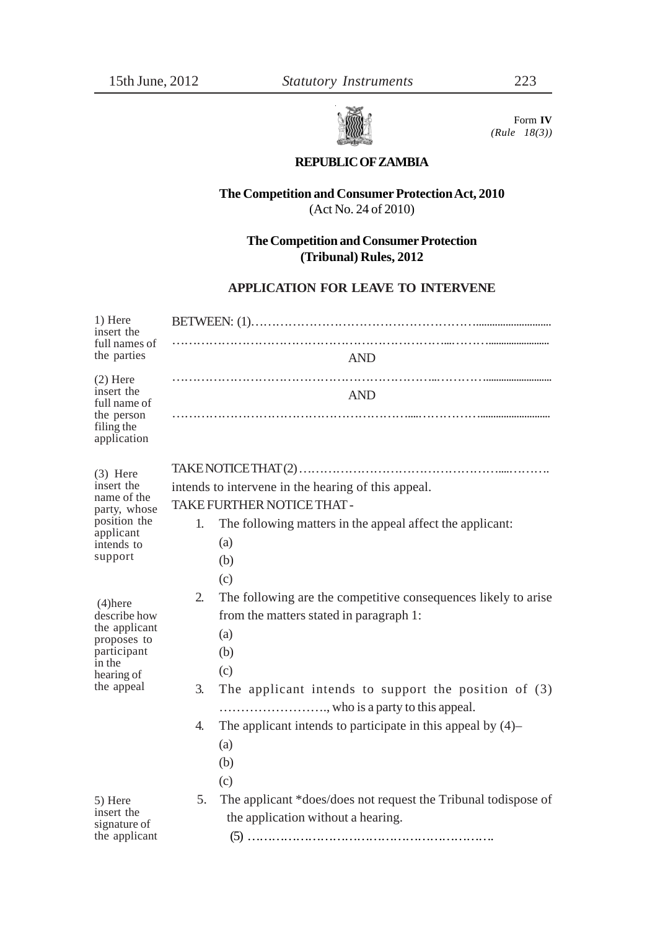

 Form **IV** *(Rule 18(3))*

### **REPUBLIC OF ZAMBIA**

### **The Competition and Consumer Protection Act, 2010** (Act No. 24 of 2010)

**The Competition and Consumer Protection (Tribunal) Rules, 2012**

### **APPLICATION FOR LEAVE TO INTERVENE**

| 1) Here<br>insert the                                                                                           |                                                                                                                                                                                                                                                                                                                         |  |
|-----------------------------------------------------------------------------------------------------------------|-------------------------------------------------------------------------------------------------------------------------------------------------------------------------------------------------------------------------------------------------------------------------------------------------------------------------|--|
| full names of<br>the parties                                                                                    | <b>AND</b>                                                                                                                                                                                                                                                                                                              |  |
| $(2)$ Here<br>insert the<br>full name of<br>the person<br>filing the<br>application                             | <b>AND</b>                                                                                                                                                                                                                                                                                                              |  |
| $(3)$ Here<br>insert the<br>name of the<br>party, whose<br>position the<br>applicant<br>intends to<br>support   | intends to intervene in the hearing of this appeal.<br><b>TAKE FURTHER NOTICE THAT-</b><br>1.<br>The following matters in the appeal affect the applicant:<br>(a)<br>(b)                                                                                                                                                |  |
| $(4)$ here<br>describe how<br>the applicant<br>proposes to<br>participant<br>in the<br>hearing of<br>the appeal | (c)<br>The following are the competitive consequences likely to arise<br>2.<br>from the matters stated in paragraph 1:<br>(a)<br>(b)<br>(c)<br>3.<br>The applicant intends to support the position of $(3)$<br>, who is a party to this appeal.<br>The applicant intends to participate in this appeal by $(4)$ –<br>4. |  |
| 5) Here<br>insert the<br>signature of<br>the applicant                                                          | (a)<br>(b)<br>(c)<br>The applicant *does/does not request the Tribunal todispose of<br>5.<br>the application without a hearing.                                                                                                                                                                                         |  |